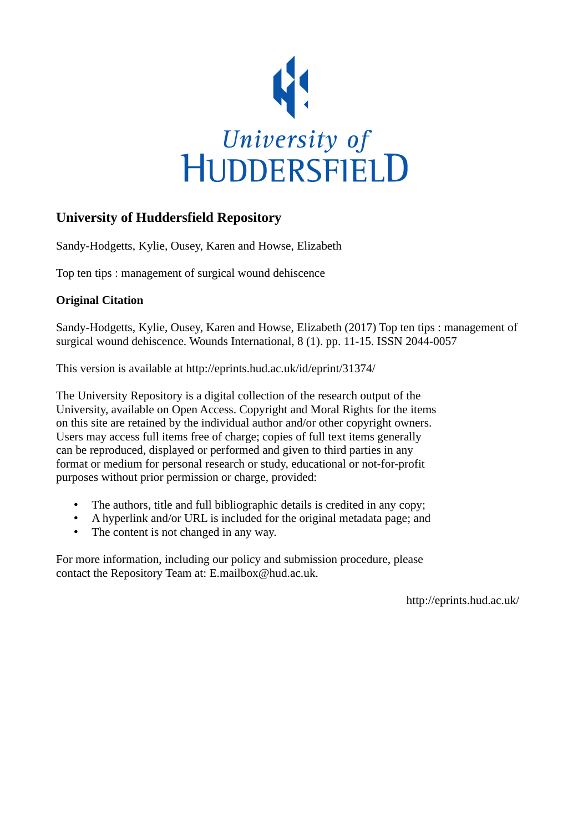

# **University of Huddersfield Repository**

Sandy-Hodgetts, Kylie, Ousey, Karen and Howse, Elizabeth

Top ten tips : management of surgical wound dehiscence

## **Original Citation**

Sandy-Hodgetts, Kylie, Ousey, Karen and Howse, Elizabeth (2017) Top ten tips : management of surgical wound dehiscence. Wounds International, 8 (1). pp. 11-15. ISSN 2044-0057

This version is available at http://eprints.hud.ac.uk/id/eprint/31374/

The University Repository is a digital collection of the research output of the University, available on Open Access. Copyright and Moral Rights for the items on this site are retained by the individual author and/or other copyright owners. Users may access full items free of charge; copies of full text items generally can be reproduced, displayed or performed and given to third parties in any format or medium for personal research or study, educational or not-for-profit purposes without prior permission or charge, provided:

- The authors, title and full bibliographic details is credited in any copy;
- A hyperlink and/or URL is included for the original metadata page; and
- The content is not changed in any way.

For more information, including our policy and submission procedure, please contact the Repository Team at: E.mailbox@hud.ac.uk.

http://eprints.hud.ac.uk/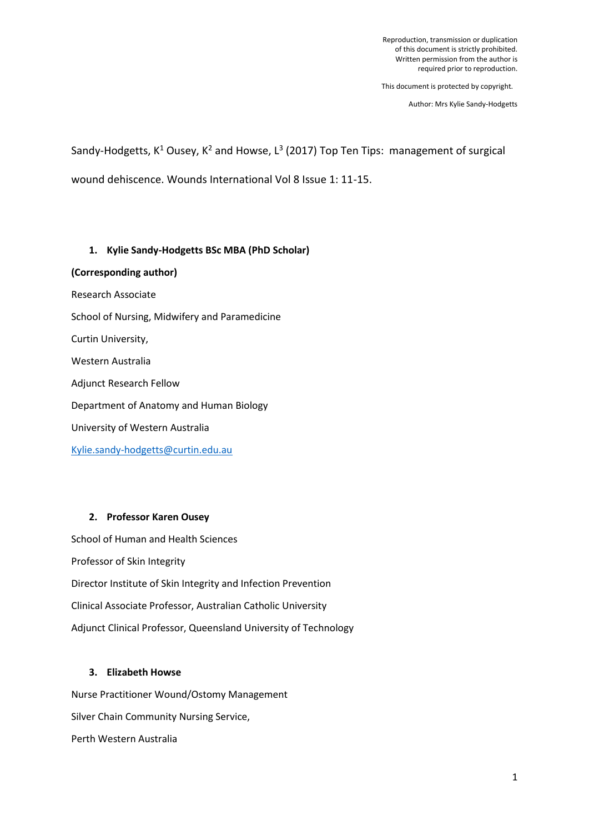Reproduction, transmission or duplication of this document is strictly prohibited. Written permission from the author is required prior to reproduction.

This document is protected by copyright.

Author: Mrs Kylie Sandy-Hodgetts

Sandy-Hodgetts,  $K^1$  Ousey,  $K^2$  and Howse,  $L^3$  (2017) Top Ten Tips: management of surgical wound dehiscence. Wounds International Vol 8 Issue 1: 11-15.

## **1. Kylie Sandy-Hodgetts BSc MBA (PhD Scholar)**

**(Corresponding author)**

- Research Associate
- School of Nursing, Midwifery and Paramedicine

Curtin University,

Western Australia

Adjunct Research Fellow

Department of Anatomy and Human Biology

University of Western Australia

[Kylie.sandy-hodgetts@curtin.edu.au](mailto:Kylie.sandy-hodgetts@curtin.edu.au)

## **2. Professor Karen Ousey**

School of Human and Health Sciences Professor of Skin Integrity Director Institute of Skin Integrity and Infection Prevention Clinical Associate Professor, Australian Catholic University Adjunct Clinical Professor, Queensland University of Technology

## **3. Elizabeth Howse**

Nurse Practitioner Wound/Ostomy Management Silver Chain Community Nursing Service, Perth Western Australia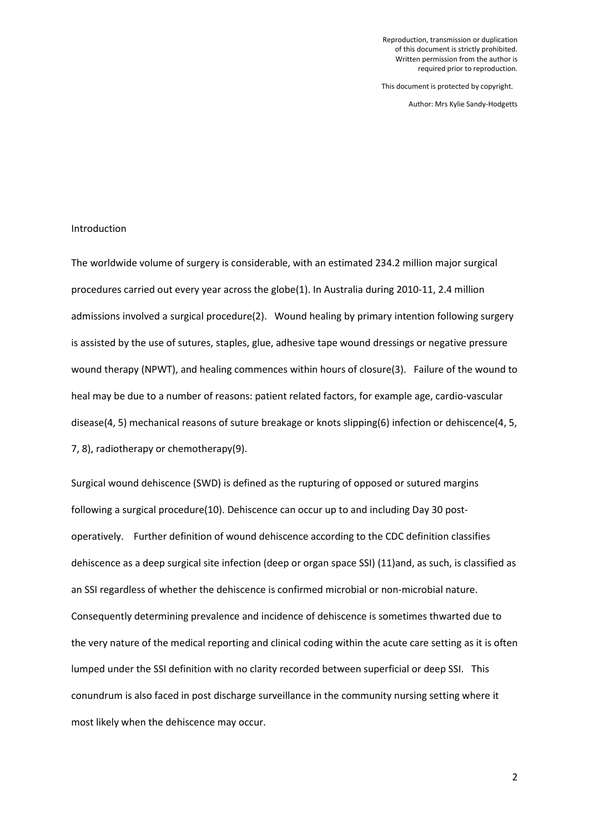Reproduction, transmission or duplication of this document is strictly prohibited. Written permission from the author is required prior to reproduction.

This document is protected by copyright.

Author: Mrs Kylie Sandy-Hodgetts

### Introduction

The worldwide volume of surgery is considerable, with an estimated 234.2 million major surgical procedures carried out every year across the globe(1). In Australia during 2010-11, 2.4 million admissions involved a surgical procedure(2). Wound healing by primary intention following surgery is assisted by the use of sutures, staples, glue, adhesive tape wound dressings or negative pressure wound therapy (NPWT), and healing commences within hours of closure(3). Failure of the wound to heal may be due to a number of reasons: patient related factors, for example age, cardio-vascular disease(4, 5) mechanical reasons of suture breakage or knots slipping(6) infection or dehiscence(4, 5, 7, 8), radiotherapy or chemotherapy(9).

Surgical wound dehiscence (SWD) is defined as the rupturing of opposed or sutured margins following a surgical procedure(10). Dehiscence can occur up to and including Day 30 postoperatively. Further definition of wound dehiscence according to the CDC definition classifies dehiscence as a deep surgical site infection (deep or organ space SSI) (11)and, as such, is classified as an SSI regardless of whether the dehiscence is confirmed microbial or non-microbial nature. Consequently determining prevalence and incidence of dehiscence is sometimes thwarted due to the very nature of the medical reporting and clinical coding within the acute care setting as it is often lumped under the SSI definition with no clarity recorded between superficial or deep SSI. This conundrum is also faced in post discharge surveillance in the community nursing setting where it most likely when the dehiscence may occur.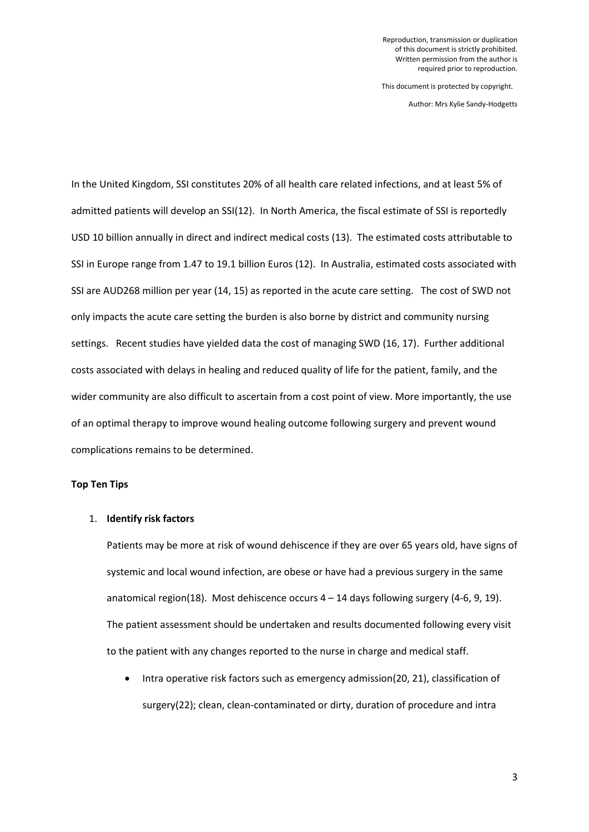Author: Mrs Kylie Sandy-Hodgetts

In the United Kingdom, SSI constitutes 20% of all health care related infections, and at least 5% of admitted patients will develop an SSI(12). In North America, the fiscal estimate of SSI is reportedly USD 10 billion annually in direct and indirect medical costs (13). The estimated costs attributable to SSI in Europe range from 1.47 to 19.1 billion Euros (12). In Australia, estimated costs associated with SSI are AUD268 million per year (14, 15) as reported in the acute care setting. The cost of SWD not only impacts the acute care setting the burden is also borne by district and community nursing settings. Recent studies have yielded data the cost of managing SWD (16, 17). Further additional costs associated with delays in healing and reduced quality of life for the patient, family, and the wider community are also difficult to ascertain from a cost point of view. More importantly, the use of an optimal therapy to improve wound healing outcome following surgery and prevent wound complications remains to be determined.

### **Top Ten Tips**

#### 1. **Identify risk factors**

Patients may be more at risk of wound dehiscence if they are over 65 years old, have signs of systemic and local wound infection, are obese or have had a previous surgery in the same anatomical region(18). Most dehiscence occurs  $4 - 14$  days following surgery (4-6, 9, 19). The patient assessment should be undertaken and results documented following every visit to the patient with any changes reported to the nurse in charge and medical staff.

• Intra operative risk factors such as emergency admission(20, 21), classification of surgery(22); clean, clean-contaminated or dirty, duration of procedure and intra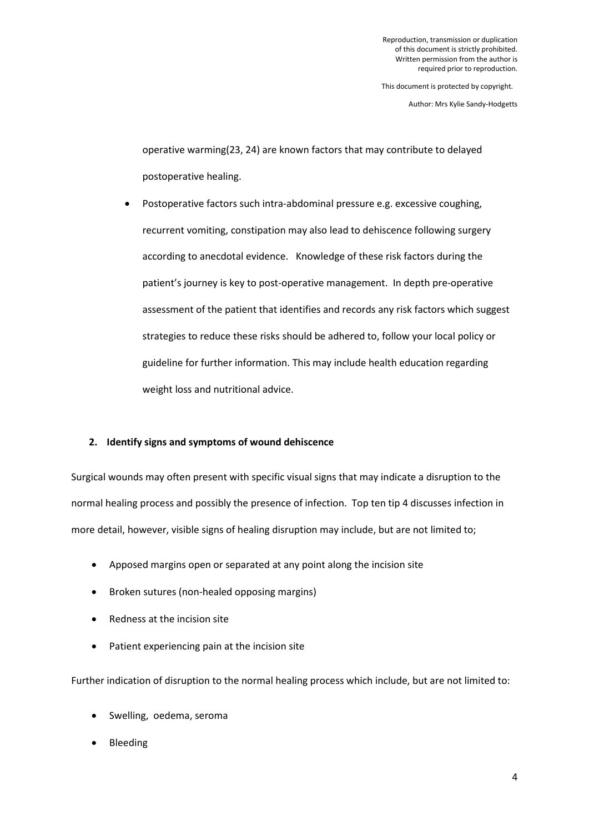Author: Mrs Kylie Sandy-Hodgetts

operative warming(23, 24) are known factors that may contribute to delayed postoperative healing.

 Postoperative factors such intra-abdominal pressure e.g. excessive coughing, recurrent vomiting, constipation may also lead to dehiscence following surgery according to anecdotal evidence. Knowledge of these risk factors during the patient's journey is key to post-operative management. In depth pre-operative assessment of the patient that identifies and records any risk factors which suggest strategies to reduce these risks should be adhered to, follow your local policy or guideline for further information. This may include health education regarding weight loss and nutritional advice.

## **2. Identify signs and symptoms of wound dehiscence**

Surgical wounds may often present with specific visual signs that may indicate a disruption to the normal healing process and possibly the presence of infection. Top ten tip 4 discusses infection in more detail, however, visible signs of healing disruption may include, but are not limited to;

- Apposed margins open or separated at any point along the incision site
- Broken sutures (non-healed opposing margins)
- Redness at the incision site
- Patient experiencing pain at the incision site

Further indication of disruption to the normal healing process which include, but are not limited to:

- Swelling, oedema, seroma
- Bleeding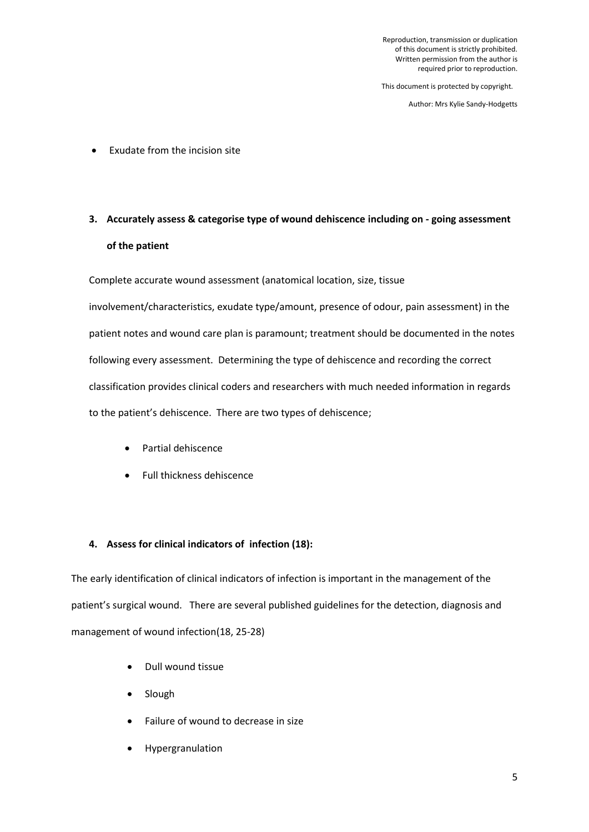Author: Mrs Kylie Sandy-Hodgetts

Exudate from the incision site

# **3. Accurately assess & categorise type of wound dehiscence including on - going assessment of the patient**

Complete accurate wound assessment (anatomical location, size, tissue

involvement/characteristics, exudate type/amount, presence of odour, pain assessment) in the patient notes and wound care plan is paramount; treatment should be documented in the notes following every assessment. Determining the type of dehiscence and recording the correct classification provides clinical coders and researchers with much needed information in regards to the patient's dehiscence. There are two types of dehiscence;

- Partial dehiscence
- Full thickness dehiscence

## **4. Assess for clinical indicators of infection (18):**

The early identification of clinical indicators of infection is important in the management of the patient's surgical wound. There are several published guidelines for the detection, diagnosis and management of wound infection(18, 25-28)

- Dull wound tissue
- Slough
- Failure of wound to decrease in size
- Hypergranulation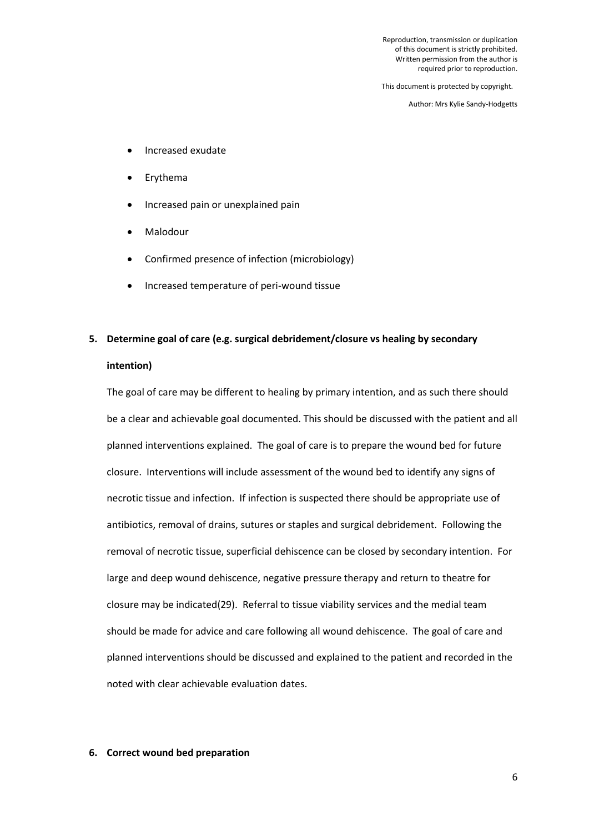Reproduction, transmission or duplication of this document is strictly prohibited. Written permission from the author is required prior to reproduction.

This document is protected by copyright.

Author: Mrs Kylie Sandy-Hodgetts

- Increased exudate
- Erythema
- Increased pain or unexplained pain
- Malodour
- Confirmed presence of infection (microbiology)
- Increased temperature of peri-wound tissue

## **5. Determine goal of care (e.g. surgical debridement/closure vs healing by secondary**

#### **intention)**

The goal of care may be different to healing by primary intention, and as such there should be a clear and achievable goal documented. This should be discussed with the patient and all planned interventions explained. The goal of care is to prepare the wound bed for future closure. Interventions will include assessment of the wound bed to identify any signs of necrotic tissue and infection. If infection is suspected there should be appropriate use of antibiotics, removal of drains, sutures or staples and surgical debridement. Following the removal of necrotic tissue, superficial dehiscence can be closed by secondary intention. For large and deep wound dehiscence, negative pressure therapy and return to theatre for closure may be indicated(29). Referral to tissue viability services and the medial team should be made for advice and care following all wound dehiscence. The goal of care and planned interventions should be discussed and explained to the patient and recorded in the noted with clear achievable evaluation dates.

#### **6. Correct wound bed preparation**

6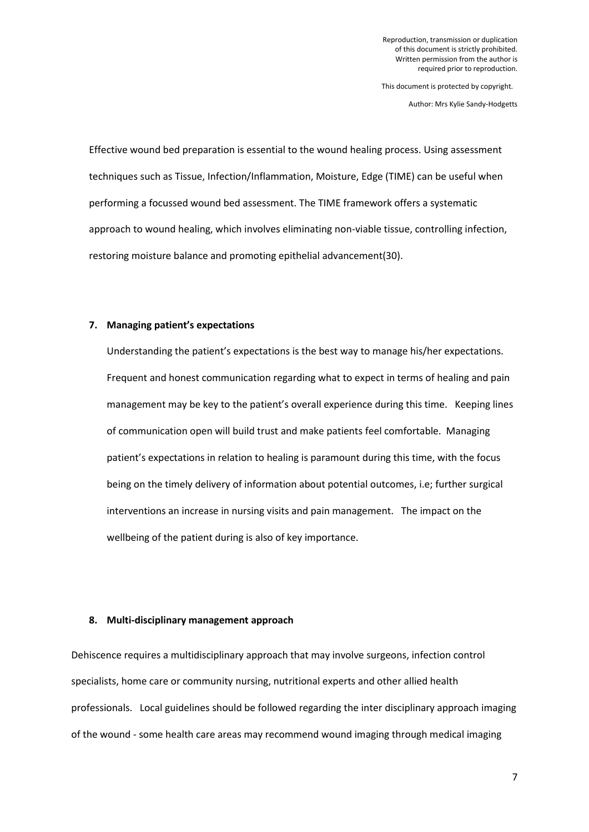Author: Mrs Kylie Sandy-Hodgetts

Effective wound bed preparation is essential to the wound healing process. Using assessment techniques such as Tissue, Infection/Inflammation, Moisture, Edge (TIME) can be useful when performing a focussed wound bed assessment. The TIME framework offers a systematic approach to wound healing, which involves eliminating non-viable tissue, controlling infection, restoring moisture balance and promoting epithelial advancement(30).

### **7. Managing patient's expectations**

Understanding the patient's expectations is the best way to manage his/her expectations. Frequent and honest communication regarding what to expect in terms of healing and pain management may be key to the patient's overall experience during this time. Keeping lines of communication open will build trust and make patients feel comfortable. Managing patient's expectations in relation to healing is paramount during this time, with the focus being on the timely delivery of information about potential outcomes, i.e; further surgical interventions an increase in nursing visits and pain management. The impact on the wellbeing of the patient during is also of key importance.

## **8. Multi-disciplinary management approach**

Dehiscence requires a multidisciplinary approach that may involve surgeons, infection control specialists, home care or community nursing, nutritional experts and other allied health professionals. Local guidelines should be followed regarding the inter disciplinary approach imaging of the wound - some health care areas may recommend wound imaging through medical imaging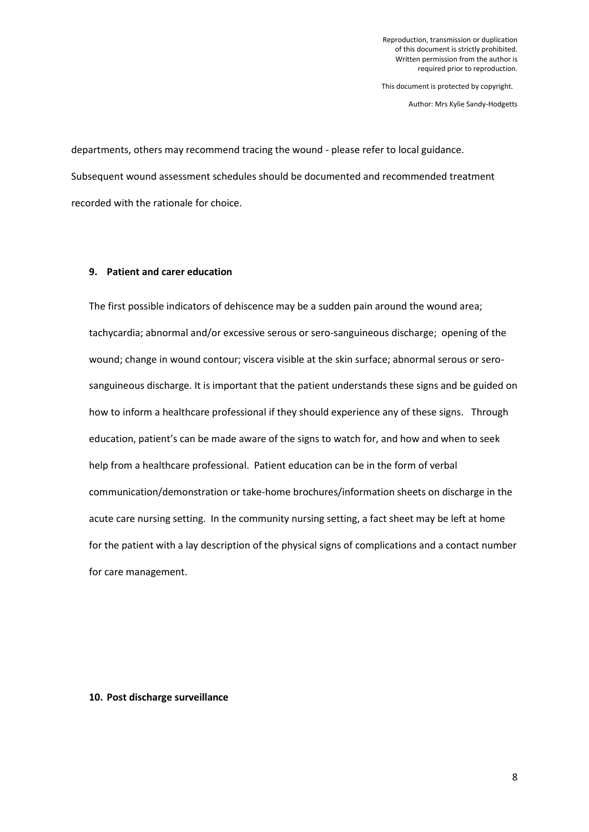Author: Mrs Kylie Sandy-Hodgetts

departments, others may recommend tracing the wound - please refer to local guidance. Subsequent wound assessment schedules should be documented and recommended treatment recorded with the rationale for choice.

### **9. Patient and carer education**

The first possible indicators of dehiscence may be a sudden pain around the wound area; tachycardia; abnormal and/or excessive serous or sero-sanguineous discharge; opening of the wound; change in wound contour; viscera visible at the skin surface; abnormal serous or serosanguineous discharge. It is important that the patient understands these signs and be guided on how to inform a healthcare professional if they should experience any of these signs. Through education, patient's can be made aware of the signs to watch for, and how and when to seek help from a healthcare professional. Patient education can be in the form of verbal communication/demonstration or take-home brochures/information sheets on discharge in the acute care nursing setting. In the community nursing setting, a fact sheet may be left at home for the patient with a lay description of the physical signs of complications and a contact number for care management.

#### **10. Post discharge surveillance**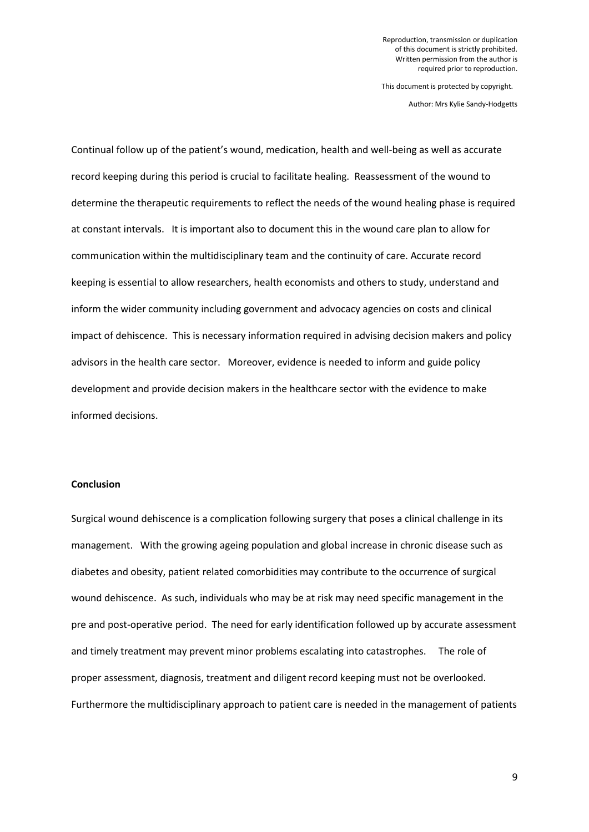Author: Mrs Kylie Sandy-Hodgetts

Continual follow up of the patient's wound, medication, health and well-being as well as accurate record keeping during this period is crucial to facilitate healing. Reassessment of the wound to determine the therapeutic requirements to reflect the needs of the wound healing phase is required at constant intervals. It is important also to document this in the wound care plan to allow for communication within the multidisciplinary team and the continuity of care. Accurate record keeping is essential to allow researchers, health economists and others to study, understand and inform the wider community including government and advocacy agencies on costs and clinical impact of dehiscence. This is necessary information required in advising decision makers and policy advisors in the health care sector. Moreover, evidence is needed to inform and guide policy development and provide decision makers in the healthcare sector with the evidence to make informed decisions.

#### **Conclusion**

Surgical wound dehiscence is a complication following surgery that poses a clinical challenge in its management. With the growing ageing population and global increase in chronic disease such as diabetes and obesity, patient related comorbidities may contribute to the occurrence of surgical wound dehiscence. As such, individuals who may be at risk may need specific management in the pre and post-operative period. The need for early identification followed up by accurate assessment and timely treatment may prevent minor problems escalating into catastrophes. The role of proper assessment, diagnosis, treatment and diligent record keeping must not be overlooked. Furthermore the multidisciplinary approach to patient care is needed in the management of patients

9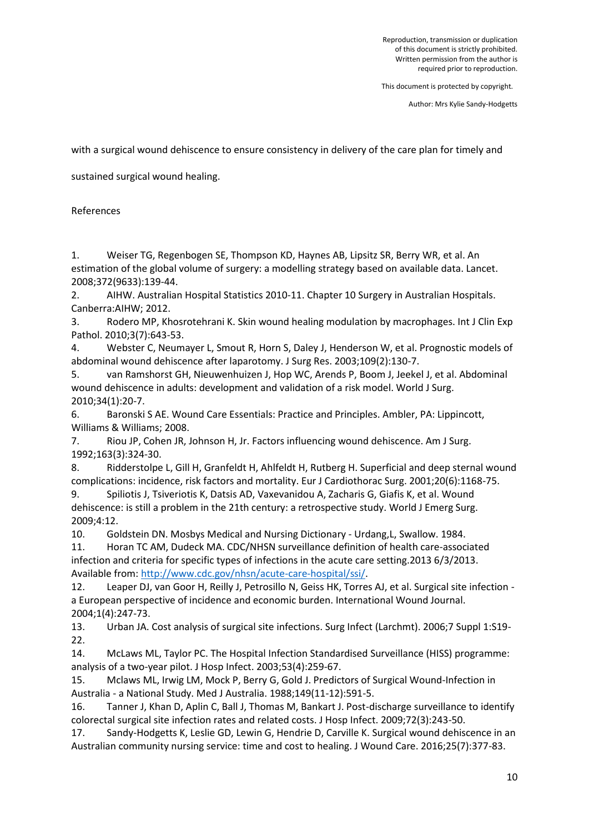Author: Mrs Kylie Sandy-Hodgetts

with a surgical wound dehiscence to ensure consistency in delivery of the care plan for timely and

sustained surgical wound healing.

References

1. Weiser TG, Regenbogen SE, Thompson KD, Haynes AB, Lipsitz SR, Berry WR, et al. An estimation of the global volume of surgery: a modelling strategy based on available data. Lancet. 2008;372(9633):139-44.

2. AIHW. Australian Hospital Statistics 2010-11. Chapter 10 Surgery in Australian Hospitals. Canberra:AIHW; 2012.

3. Rodero MP, Khosrotehrani K. Skin wound healing modulation by macrophages. Int J Clin Exp Pathol. 2010;3(7):643-53.

4. Webster C, Neumayer L, Smout R, Horn S, Daley J, Henderson W, et al. Prognostic models of abdominal wound dehiscence after laparotomy. J Surg Res. 2003;109(2):130-7.

5. van Ramshorst GH, Nieuwenhuizen J, Hop WC, Arends P, Boom J, Jeekel J, et al. Abdominal wound dehiscence in adults: development and validation of a risk model. World J Surg. 2010;34(1):20-7.

6. Baronski S AE. Wound Care Essentials: Practice and Principles. Ambler, PA: Lippincott, Williams & Williams; 2008.

7. Riou JP, Cohen JR, Johnson H, Jr. Factors influencing wound dehiscence. Am J Surg. 1992;163(3):324-30.

8. Ridderstolpe L, Gill H, Granfeldt H, Ahlfeldt H, Rutberg H. Superficial and deep sternal wound complications: incidence, risk factors and mortality. Eur J Cardiothorac Surg. 2001;20(6):1168-75.

9. Spiliotis J, Tsiveriotis K, Datsis AD, Vaxevanidou A, Zacharis G, Giafis K, et al. Wound dehiscence: is still a problem in the 21th century: a retrospective study. World J Emerg Surg. 2009;4:12.

10. Goldstein DN. Mosbys Medical and Nursing Dictionary - Urdang,L, Swallow. 1984.

11. Horan TC AM, Dudeck MA. CDC/NHSN surveillance definition of health care-associated infection and criteria for specific types of infections in the acute care setting.2013 6/3/2013. Available from[: http://www.cdc.gov/nhsn/acute-care-hospital/ssi/.](http://www.cdc.gov/nhsn/acute-care-hospital/ssi/)

12. Leaper DJ, van Goor H, Reilly J, Petrosillo N, Geiss HK, Torres AJ, et al. Surgical site infection a European perspective of incidence and economic burden. International Wound Journal. 2004;1(4):247-73.

13. Urban JA. Cost analysis of surgical site infections. Surg Infect (Larchmt). 2006;7 Suppl 1:S19- 22.

14. McLaws ML, Taylor PC. The Hospital Infection Standardised Surveillance (HISS) programme: analysis of a two-year pilot. J Hosp Infect. 2003;53(4):259-67.

15. Mclaws ML, Irwig LM, Mock P, Berry G, Gold J. Predictors of Surgical Wound-Infection in Australia - a National Study. Med J Australia. 1988;149(11-12):591-5.

16. Tanner J, Khan D, Aplin C, Ball J, Thomas M, Bankart J. Post-discharge surveillance to identify colorectal surgical site infection rates and related costs. J Hosp Infect. 2009;72(3):243-50.

17. Sandy-Hodgetts K, Leslie GD, Lewin G, Hendrie D, Carville K. Surgical wound dehiscence in an Australian community nursing service: time and cost to healing. J Wound Care. 2016;25(7):377-83.